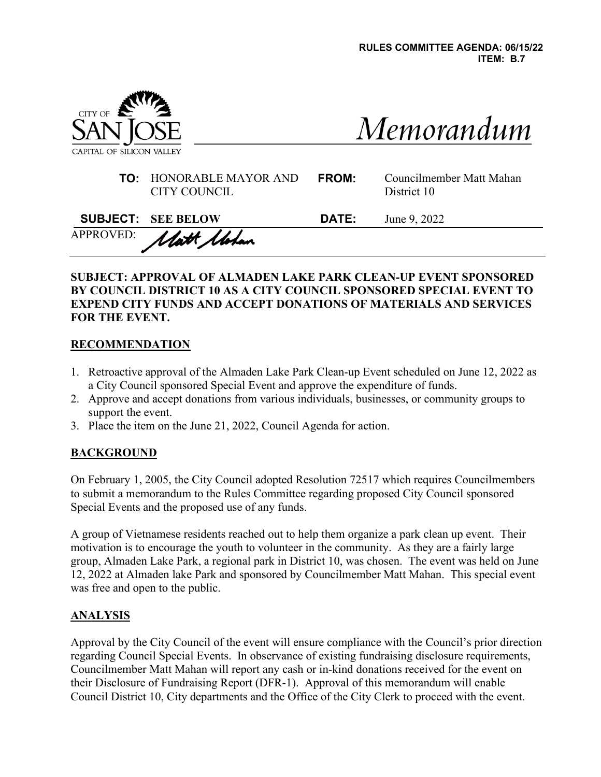

| Memorandum |  |
|------------|--|

| <b>TO:</b> HONORABLE MAYOR AND | <b>FRC</b> |
|--------------------------------|------------|
| CITY COUNCIL                   |            |

| <b>FROM:</b> | Councilmember Matt Mahan |
|--------------|--------------------------|
|              | District 10              |

| <b>SUBJECT: SEE BELOW</b> | <b>DATE:</b> | June 9, 2022 |
|---------------------------|--------------|--------------|
| APPROVED: Matt Motan      |              |              |

### **SUBJECT: APPROVAL OF ALMADEN LAKE PARK CLEAN-UP EVENT SPONSORED BY COUNCIL DISTRICT 10 AS A CITY COUNCIL SPONSORED SPECIAL EVENT TO EXPEND CITY FUNDS AND ACCEPT DONATIONS OF MATERIALS AND SERVICES FOR THE EVENT.**

### **RECOMMENDATION**

- 1. Retroactive approval of the Almaden Lake Park Clean-up Event scheduled on June 12, 2022 as a City Council sponsored Special Event and approve the expenditure of funds.
- 2. Approve and accept donations from various individuals, businesses, or community groups to support the event.
- 3. Place the item on the June 21, 2022, Council Agenda for action.

## **BACKGROUND**

On February 1, 2005, the City Council adopted Resolution 72517 which requires Councilmembers to submit a memorandum to the Rules Committee regarding proposed City Council sponsored Special Events and the proposed use of any funds.

A group of Vietnamese residents reached out to help them organize a park clean up event. Their motivation is to encourage the youth to volunteer in the community. As they are a fairly large group, Almaden Lake Park, a regional park in District 10, was chosen. The event was held on June 12, 2022 at Almaden lake Park and sponsored by Councilmember Matt Mahan. This special event was free and open to the public.

#### **ANALYSIS**

Approval by the City Council of the event will ensure compliance with the Council's prior direction regarding Council Special Events. In observance of existing fundraising disclosure requirements, Councilmember Matt Mahan will report any cash or in-kind donations received for the event on their Disclosure of Fundraising Report (DFR-1). Approval of this memorandum will enable Council District 10, City departments and the Office of the City Clerk to proceed with the event.